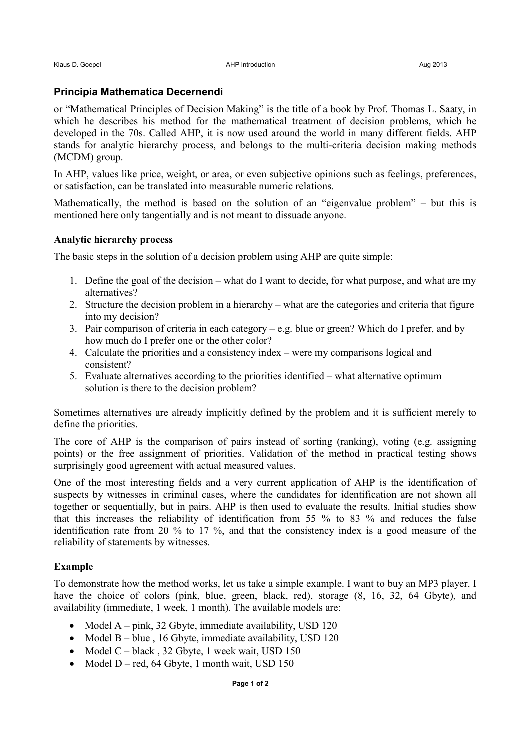# **Principia Mathematica Decernendi**

or "Mathematical Principles of Decision Making" is the title of a book by Prof. Thomas L. Saaty, in which he describes his method for the mathematical treatment of decision problems, which he developed in the 70s. Called AHP, it is now used around the world in many different fields. AHP stands for analytic hierarchy process, and belongs to the multi-criteria decision making methods (MCDM) group.

In AHP, values like price, weight, or area, or even subjective opinions such as feelings, preferences, or satisfaction, can be translated into measurable numeric relations.

Mathematically, the method is based on the solution of an "eigenvalue problem" – but this is mentioned here only tangentially and is not meant to dissuade anyone.

## **Analytic hierarchy process**

The basic steps in the solution of a decision problem using AHP are quite simple:

- 1. Define the goal of the decision what do I want to decide, for what purpose, and what are my alternatives?
- 2. Structure the decision problem in a hierarchy what are the categories and criteria that figure into my decision?
- 3. Pair comparison of criteria in each category e.g. blue or green? Which do I prefer, and by how much do I prefer one or the other color?
- 4. Calculate the priorities and a consistency index were my comparisons logical and consistent?
- 5. Evaluate alternatives according to the priorities identified what alternative optimum solution is there to the decision problem?

Sometimes alternatives are already implicitly defined by the problem and it is sufficient merely to define the priorities.

The core of AHP is the comparison of pairs instead of sorting (ranking), voting (e.g. assigning points) or the free assignment of priorities. Validation of the method in practical testing shows surprisingly good agreement with actual measured values.

One of the most interesting fields and a very current application of AHP is the identification of suspects by witnesses in criminal cases, where the candidates for identification are not shown all together or sequentially, but in pairs. AHP is then used to evaluate the results. Initial studies show that this increases the reliability of identification from 55 % to 83 % and reduces the false identification rate from 20 % to 17 %, and that the consistency index is a good measure of the reliability of statements by witnesses.

## **Example**

To demonstrate how the method works, let us take a simple example. I want to buy an MP3 player. I have the choice of colors (pink, blue, green, black, red), storage  $(8, 16, 32, 64)$  Gbyte), and availability (immediate, 1 week, 1 month). The available models are:

- Model A pink, 32 Gbyte, immediate availability, USD 120
- Model B blue , 16 Gbyte, immediate availability, USD 120
- Model C black, 32 Gbyte, 1 week wait, USD  $150$
- Model  $D red$ , 64 Gbyte, 1 month wait, USD 150